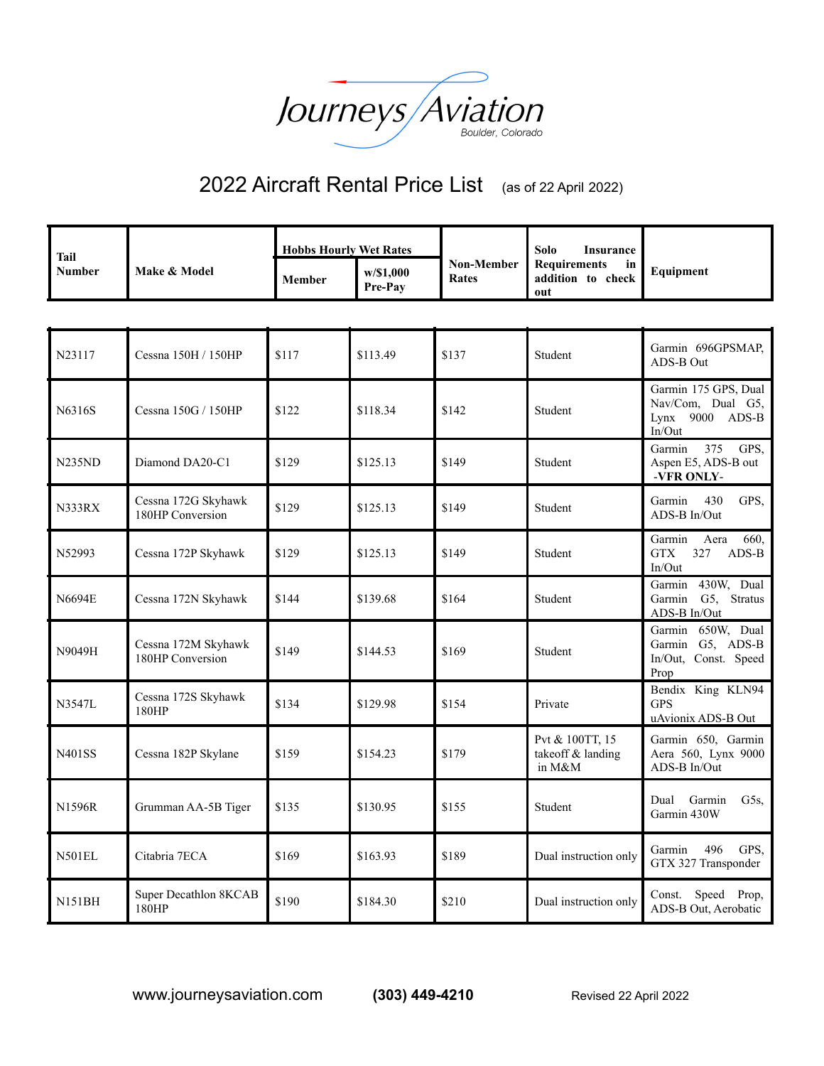

## 2022 Aircraft Rental Price List (as of 22 April 2022)

| <b>Tail</b><br><b>Number</b> | <b>Make &amp; Model</b> | <b>Hobbs Hourly Wet Rates</b> |                             |                     | Solo<br>Insurance                                              |  |
|------------------------------|-------------------------|-------------------------------|-----------------------------|---------------------|----------------------------------------------------------------|--|
|                              |                         | <b>Member</b>                 | w/\$1.000<br><b>Pre-Pav</b> | Non-Member<br>Rates | Requirements<br>in<br>Equipment<br>addition to<br>check<br>out |  |

| N23117        | Cessna 150H / 150HP                     | \$117 | \$113.49 | \$137 | Student                                        | Garmin 696GPSMAP,<br>ADS-B Out                                           |
|---------------|-----------------------------------------|-------|----------|-------|------------------------------------------------|--------------------------------------------------------------------------|
| N6316S        | Cessna 150G / 150HP                     | \$122 | \$118.34 | \$142 | Student                                        | Garmin 175 GPS, Dual<br>Nav/Com, Dual G5,<br>Lynx $9000$ ADS-B<br>In/Out |
| <b>N235ND</b> | Diamond DA20-C1                         | \$129 | \$125.13 | \$149 | Student                                        | 375<br>GPS,<br>Garmin<br>Aspen E5, ADS-B out<br>-VFR ONLY-               |
| N333RX        | Cessna 172G Skyhawk<br>180HP Conversion | \$129 | \$125.13 | \$149 | Student                                        | 430<br>GPS,<br>Garmin<br>ADS-B In/Out                                    |
| N52993        | Cessna 172P Skyhawk                     | \$129 | \$125.13 | \$149 | Student                                        | 660,<br>Garmin<br>Aera<br><b>GTX</b><br>327<br>ADS-B<br>In/Out           |
| N6694E        | Cessna 172N Skyhawk                     | \$144 | \$139.68 | \$164 | Student                                        | Garmin 430W, Dual<br>Garmin G5, Stratus<br>ADS-B In/Out                  |
| N9049H        | Cessna 172M Skyhawk<br>180HP Conversion | \$149 | \$144.53 | \$169 | Student                                        | Garmin 650W, Dual<br>Garmin G5, ADS-B<br>In/Out, Const. Speed<br>Prop    |
| N3547L        | Cessna 172S Skyhawk<br>180HP            | \$134 | \$129.98 | \$154 | Private                                        | Bendix King KLN94<br><b>GPS</b><br>uAvionix ADS-B Out                    |
| <b>N401SS</b> | Cessna 182P Skylane                     | \$159 | \$154.23 | \$179 | Pvt & 100TT, 15<br>takeoff & landing<br>in M&M | Garmin 650, Garmin<br>Aera 560, Lynx 9000<br>ADS-B In/Out                |
| N1596R        | Grumman AA-5B Tiger                     | \$135 | \$130.95 | \$155 | Student                                        | Dual Garmin<br>G5s,<br>Garmin 430W                                       |
| <b>N501EL</b> | Citabria 7ECA                           | \$169 | \$163.93 | \$189 | Dual instruction only                          | 496<br>GPS,<br>Garmin<br>GTX 327 Transponder                             |
| <b>N151BH</b> | Super Decathlon 8KCAB<br>180HP          | \$190 | \$184.30 | \$210 | Dual instruction only                          | Speed Prop,<br>Const.<br>ADS-B Out, Aerobatic                            |